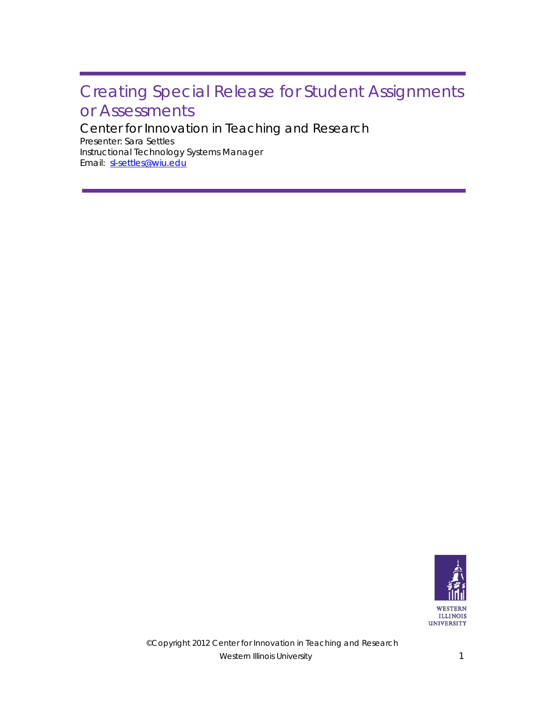## Creating Special Release for Student Assignments or Assessments

Center for Innovation in Teaching and Research

Email: sl-settles@wiu.edu Presenter: Sara Settles Instructional Technology Systems Manager

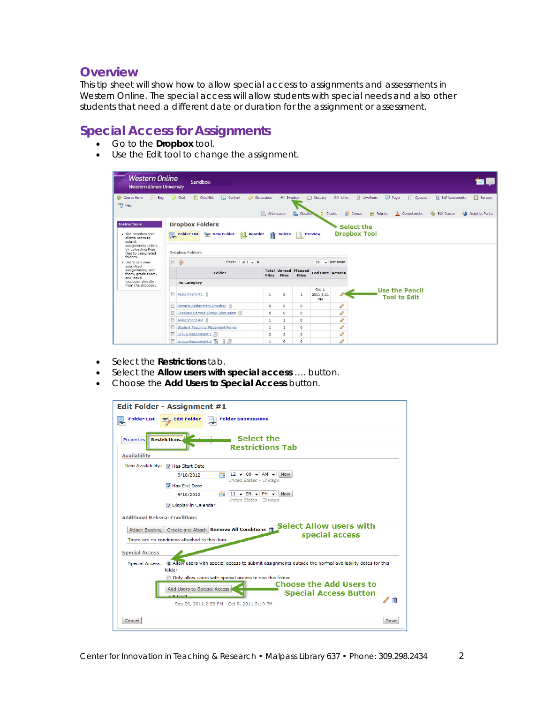## **Overview**

This tip sheet will show how to allow special access to assignments and assessments in Western Online. The special access will allow students with special needs and also other students that need a different date or duration for the assignment or assessment.

## **Special Access for Assignments**

- Go to the **Dropbox** tool.
- Use the Edit tool to change the assignment.

| <b>Western Online</b><br><b>Western Illinois University</b>                                                                                                                                                          | Sandbox                                                         |                                         |                                                      |                                                   |                                                                                     | EU.                                                                                |  |
|----------------------------------------------------------------------------------------------------------------------------------------------------------------------------------------------------------------------|-----------------------------------------------------------------|-----------------------------------------|------------------------------------------------------|---------------------------------------------------|-------------------------------------------------------------------------------------|------------------------------------------------------------------------------------|--|
| Blog<br>Course Home<br>⅋<br>Help                                                                                                                                                                                     | 疆<br>Chat<br>Checklist<br>Content                               | <b>Discussions</b><br>Attendance        | Propbox<br>Classist                                  | <b>GRO</b> Links<br><b>Ell</b> Glossary<br>Grades | LiveRoom<br>Pager<br>? Quizzes<br>83<br>翩<br>≜<br>Groups<br>Rubrics<br>Competencies | <b>79</b> Self Assessments<br><b>TT</b> Surveys<br>Edit Course<br>Analytics Portal |  |
| <b>Instructions</b><br>. The Dropbox tool<br>allows users to<br>submit                                                                                                                                               | <b>Dropbox Folders</b><br>鳳<br><b>Folder List</b><br>New Folder | <b>THE Reorder</b><br><b>THE Delete</b> | <b>Preview</b>                                       |                                                   | Select the<br><b>Dropbox Tool</b>                                                   |                                                                                    |  |
| assignments online<br>by uploading their<br>files to designated<br>folders.<br><b>D</b> Users can view<br>submitted<br>assignments, sort<br>them, grade them,<br>and leave<br>feedback directly<br>from the dropbox. | <b>Dropbox Folders</b>                                          |                                         |                                                      |                                                   |                                                                                     |                                                                                    |  |
|                                                                                                                                                                                                                      | 80<br>同<br>Page: $1$ of $2 \div b$                              |                                         |                                                      | 20<br>$\rightarrow$ per page                      |                                                                                     |                                                                                    |  |
|                                                                                                                                                                                                                      | Folder                                                          | <b>Files</b>                            | <b>Total Unread Flagged</b><br>Files<br><b>Files</b> | <b>End Date Actions</b>                           |                                                                                     |                                                                                    |  |
|                                                                                                                                                                                                                      | <b>No Category</b>                                              |                                         |                                                      |                                                   |                                                                                     |                                                                                    |  |
|                                                                                                                                                                                                                      | 問<br>Assignment #1                                              | $\mathbf{1}$                            | $\mathbf{1}$<br>$\circ$                              | Oct 1.<br>2011 3:11<br>PM                         | <b>Use the Pencil</b><br><b>Tool to Edit</b>                                        |                                                                                    |  |
|                                                                                                                                                                                                                      | Sample Assignment Dropbox                                       | $^{\circ}$                              | $\circ$<br>$\circ$                                   | P                                                 |                                                                                     |                                                                                    |  |
|                                                                                                                                                                                                                      | Dropbox Sample Group Discussion 08                              | $\mathbf 0$                             | $\overline{0}$<br>$\circ$                            | I                                                 |                                                                                     |                                                                                    |  |
|                                                                                                                                                                                                                      | F<br>Assignment #2                                              | $\mathbf{1}$                            | $\mathbf{1}$<br>$\circ$                              | <b>CONTRACTOR</b>                                 |                                                                                     |                                                                                    |  |
|                                                                                                                                                                                                                      | <b>Student Teaching Placement Forms</b>                         | $\mathbf{1}$                            | $\mathbf{1}$<br>$\circ$                              | CO                                                |                                                                                     |                                                                                    |  |
|                                                                                                                                                                                                                      | Group Assignment 1                                              | $\overline{2}$                          | 2<br>$\circ$                                         | P                                                 |                                                                                     |                                                                                    |  |
|                                                                                                                                                                                                                      | Group Assignment 2<br>$\alpha$                                  | $\mathbf{1}$                            | $\overline{0}$<br>$\Omega$                           | P                                                 |                                                                                     |                                                                                    |  |

- Select the **Restrictions** tab.
- Select the **Allow users with special access** …. button.
- Choose the **Add Users to Special Access** button.

| Edit Folder - Assignment #1                                                                                                                                                                                                                                                                                                                                       |  |  |  |  |
|-------------------------------------------------------------------------------------------------------------------------------------------------------------------------------------------------------------------------------------------------------------------------------------------------------------------------------------------------------------------|--|--|--|--|
| <b>Folder Submissions</b><br><b>Folder List</b><br><b>FIL Edit Folder</b>                                                                                                                                                                                                                                                                                         |  |  |  |  |
| Select the<br><b>Restrictions</b><br>Properties<br><b>Restrictions Tab</b><br><b>Availability</b>                                                                                                                                                                                                                                                                 |  |  |  |  |
| Date Availability:<br>V Has Start Date<br>$12 \times 00 \times$ AM $\star$<br><b>Now</b><br>9/10/2012<br>m,<br>United States - Chicago<br>V Has End Date<br>$11 - 59 - PM$<br><b>Now</b><br>9/10/2012<br>United States - Chicago<br>Display in Calendar                                                                                                           |  |  |  |  |
| <b>Additional Release Conditions</b><br><b>Select Allow users with</b><br>Attach Existing   Create and Attach   Remove All Conditions  <br>special access<br>There are no conditions attached to this item.<br><b>Special Access</b>                                                                                                                              |  |  |  |  |
| (a) Allow users with special access to submit assignments outside the normal availability dates for this<br>Special Access:<br>folder<br>Only allow users with special access to see this folder<br><b>Choose the Add Users to</b><br>Add Users to Special Access<br><b>Special Access Button</b><br>dal toott<br>T<br>Sep 26, 2011 2:59 PM - Oct 8, 2011 3:10 PM |  |  |  |  |
| Cancel<br>Save                                                                                                                                                                                                                                                                                                                                                    |  |  |  |  |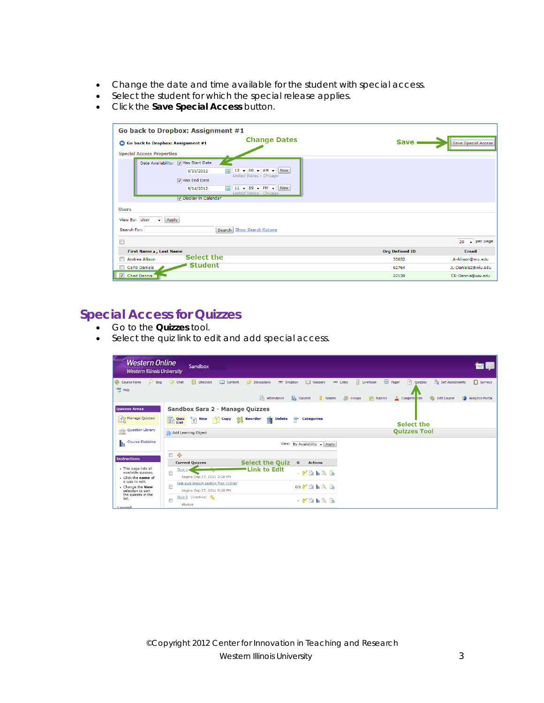- Change the date and time available for the student with special access.
- Select the student for which the special release applies.
- Click the **Save Special Access** button.

| Go back to Dropbox: Assignment #1            |                                                             |                       |                             |
|----------------------------------------------|-------------------------------------------------------------|-----------------------|-----------------------------|
| Go back to Dropbox: Assignment #1            | <b>Change Dates</b>                                         | <b>Save</b>           | <b>Save Special Access</b>  |
| <b>Special Access Properties</b>             |                                                             |                       |                             |
| Date Availability: 7 Has Start Date          |                                                             |                       |                             |
| 9/10/2012                                    | $12 - 00 - AM -$<br>Now<br>ᆿ                                |                       |                             |
| <b>V</b> Has End Date                        | United States - Chicago                                     |                       |                             |
| 9/14/2012                                    | $11 - 59 - PM - Now$<br>$\equiv$<br>United States - Chicago |                       |                             |
| V Display in Calendar                        |                                                             |                       |                             |
| <b>Users</b>                                 |                                                             |                       |                             |
| $\blacktriangleright$ Apply<br>View By: User |                                                             |                       |                             |
| Search For:<br>Search                        | <b>Show Search Options</b>                                  |                       |                             |
|                                              |                                                             |                       | $\downarrow$ per page<br>20 |
| First Name A, Last Name                      |                                                             | <b>Org Defined ID</b> | <b>Email</b>                |
| Select the<br>Andrea Allison                 |                                                             | 35632                 | A-Allison@wiu.edu           |
| <b>Student</b><br>Carlo Daniels              |                                                             | 62764                 | JL-Daniels2@wiu.edu         |
| Chad Dennis<br>$ \nabla $                    |                                                             | 22130                 | CE-Dennis@wiu.edu           |

## **Special Access for Quizzes**

- Go to the **Quizzes** tool.
- Select the quiz link to edit and add special access.

| <b>Western Online</b><br><b>Western Illinois University</b>                                                                                                        | Sandbox                                                                                        |                                                              |                                                                      |                                                                                               |                                               | ЕU                                                                       |
|--------------------------------------------------------------------------------------------------------------------------------------------------------------------|------------------------------------------------------------------------------------------------|--------------------------------------------------------------|----------------------------------------------------------------------|-----------------------------------------------------------------------------------------------|-----------------------------------------------|--------------------------------------------------------------------------|
| Course Home<br>$\varphi$<br>Blog<br>Help                                                                                                                           | $\frac{12}{9}$<br>$\Box$ Content<br>Checklist<br>Chat<br>$\circ$                               | $\mathcal{S}$<br>Dropbox<br><b>Discussions</b><br>Attendance | <b>Ell Glossary</b><br><b>GB</b> Links<br><b>Classlist</b><br>Grades | ₽<br>$\begin{bmatrix} 1 & 0 \\ 0 & 1 \end{bmatrix}$<br>LiveRoom<br><b>8</b> Groups<br>Rubrics | 2 <br>Pager<br><b>Quizzes</b><br>Compete cies | Surveys<br><b>72</b> Self Assessments<br>Edit Course<br>Analytics Portal |
| <b>Quizzes Areas</b><br>? Manage Quizzes                                                                                                                           | Sandbox Sara 2 - Manage Quizzes<br><b>Quiz</b><br>List<br><b>New</b><br>Copy<br>$\overline{2}$ | ŤŤ<br><b>THE</b> Reorder<br><b>Delete</b>                    | ₩<br><b>Categories</b>                                               |                                                                                               | <b>Select the</b>                             |                                                                          |
| Question Library<br>î<br><b>Course Statistics</b>                                                                                                                  | Add Learning Object                                                                            |                                                              |                                                                      |                                                                                               | <b>Quizzes Tool</b>                           |                                                                          |
| <b>Instructions</b>                                                                                                                                                | n<br>20                                                                                        |                                                              | View: By Availability + Apply                                        |                                                                                               |                                               |                                                                          |
| This page lists all<br>available quizzes.<br>Click the name of<br>a guiz to edit.<br>Change the View<br>selection to sort<br>the quizzes in the<br>list.<br>Logand | <b>Current Ouizzes</b><br>Quiz <sub>1</sub><br>n<br>begins Sep 27, 2011 2:28 PM                | <b>Select the Quiz</b><br><b>Link to Edit</b>                | G<br><b>Actions</b><br>$-F$ ahar                                     |                                                                                               |                                               |                                                                          |
|                                                                                                                                                                    | test quiz import section fron ?Librar<br>begins Sep 27, 2011 3:18 PM                           |                                                              | $0/1$ $\blacksquare$ $\blacksquare$ $\blacksquare$                   |                                                                                               |                                               |                                                                          |
|                                                                                                                                                                    | Quiz 2 (inactive)<br>always                                                                    |                                                              | $ \mathbb{M}$ $\mathbb{R}$ $\mathbb{R}$                              |                                                                                               |                                               |                                                                          |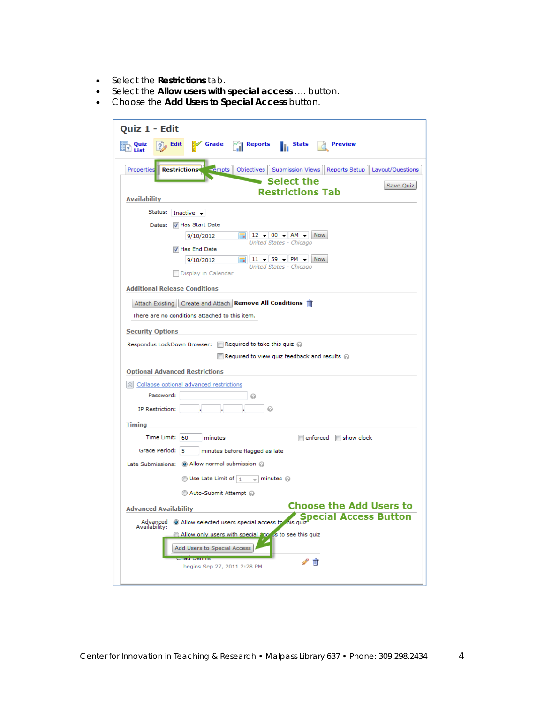- Select the **Restrictions** tab.
- Select the **Allow users with special access** …. button.
- Choose the **Add Users to Special Access** button.

| Quiz 1 - Edit                                                                                                          |  |  |  |  |
|------------------------------------------------------------------------------------------------------------------------|--|--|--|--|
| Grade<br>Reports<br>Stats<br>Preview<br>Quiz<br>Edit<br>List                                                           |  |  |  |  |
| Objectives   Submission Views   Reports Setup   <br>Properties<br><b>Restrictions</b><br>$-$ empts<br>Layout/Questions |  |  |  |  |
| <b>Select the</b><br>Save Quiz                                                                                         |  |  |  |  |
| <b>Restrictions Tab</b><br><b>Availability</b>                                                                         |  |  |  |  |
| Status:<br>Inactive $\rightarrow$                                                                                      |  |  |  |  |
| Dates: V Has Start Date                                                                                                |  |  |  |  |
| $12 - 00 - AM -$<br><b>Now</b><br>9/10/2012<br><b>IT A</b>                                                             |  |  |  |  |
| United States - Chicago<br>V Has End Date                                                                              |  |  |  |  |
| $11 - 59 - P$ M -<br><b>Now</b><br>9/10/2012<br>United States - Chicago                                                |  |  |  |  |
| Display in Calendar                                                                                                    |  |  |  |  |
| <b>Additional Release Conditions</b>                                                                                   |  |  |  |  |
| Attach Existing   Create and Attach   Remove All Conditions   T                                                        |  |  |  |  |
| There are no conditions attached to this item.                                                                         |  |  |  |  |
| <b>Security Options</b>                                                                                                |  |  |  |  |
| Respondus LockDown Browser: $\Box$ Required to take this quiz $\oslash$                                                |  |  |  |  |
| $\Box$ Required to view quiz feedback and results $\odot$                                                              |  |  |  |  |
| <b>Optional Advanced Restrictions</b>                                                                                  |  |  |  |  |
| Collapse optional advanced restrictions                                                                                |  |  |  |  |
| Password:<br>ø                                                                                                         |  |  |  |  |
| IP Restriction:                                                                                                        |  |  |  |  |
| <b>Timing</b>                                                                                                          |  |  |  |  |
| Time Limit: 60<br>enforced show clock<br>minutes                                                                       |  |  |  |  |
| Grace Period: 5<br>minutes before flagged as late                                                                      |  |  |  |  |
| Late Submissions: © Allow normal submission @                                                                          |  |  |  |  |
| $\circledcirc$ Use Late Limit of $\mid_1$<br>$\Box$ minutes $\oslash$                                                  |  |  |  |  |
| Auto-Submit Attempt @                                                                                                  |  |  |  |  |
| <b>Choose the Add Users to</b><br><b>Advanced Availability</b>                                                         |  |  |  |  |
| Special Access Button<br>Allow selected users special access to this quiz"<br>Advanced                                 |  |  |  |  |
| Availability:<br>Allow only users with special access to see this quiz                                                 |  |  |  |  |
| Add Users to Special Access                                                                                            |  |  |  |  |
| circui comme<br>Ш                                                                                                      |  |  |  |  |
| begins Sep 27, 2011 2:28 PM                                                                                            |  |  |  |  |
|                                                                                                                        |  |  |  |  |